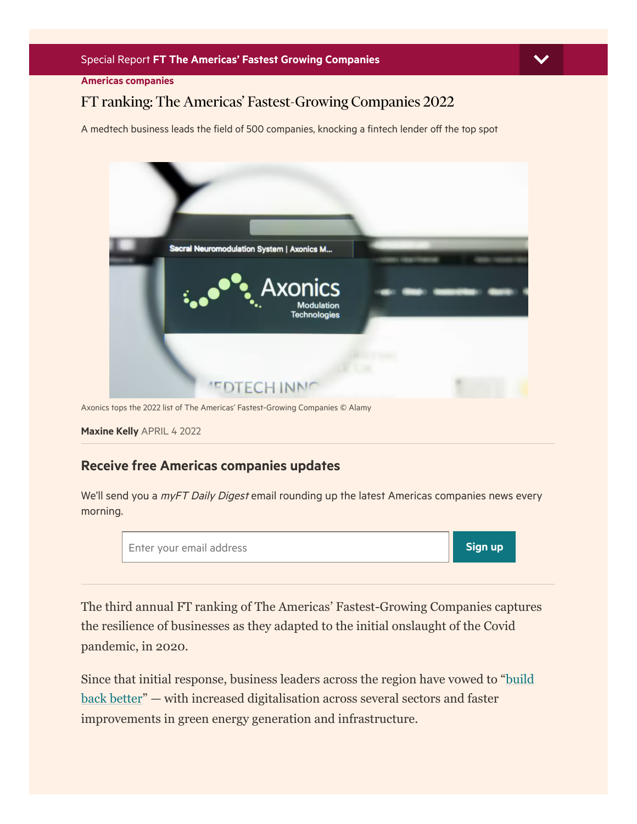Americas [companies](https://www.ft.com/companies/americas)

## FT ranking: The Americas' Fastest-Growing Companies 2022



Axonics tops the 2022 list of The Americas' Fastest-Growing Companies © Alamy

[Maxine](https://www.ft.com/stream/1b3fbf04-79fc-4c9e-aa16-312d01dab71a) Kelly APRIL 4 2022

#### Receive free Americas companies updates

We'll send you a *myFT Daily Digest* email rounding up the latest Americas companies news every morning.



The third annual FT ranking of The Americas' Fastest-Growing Companies captures the resilience of businesses as they adapted to the initial onslaught of the Covid pandemic, in 2020.

Since that initial response, business leaders across the region have vowed to "build back better" — with increased digitalisation across several sectors and faster improvements in green energy generation and infrastructure.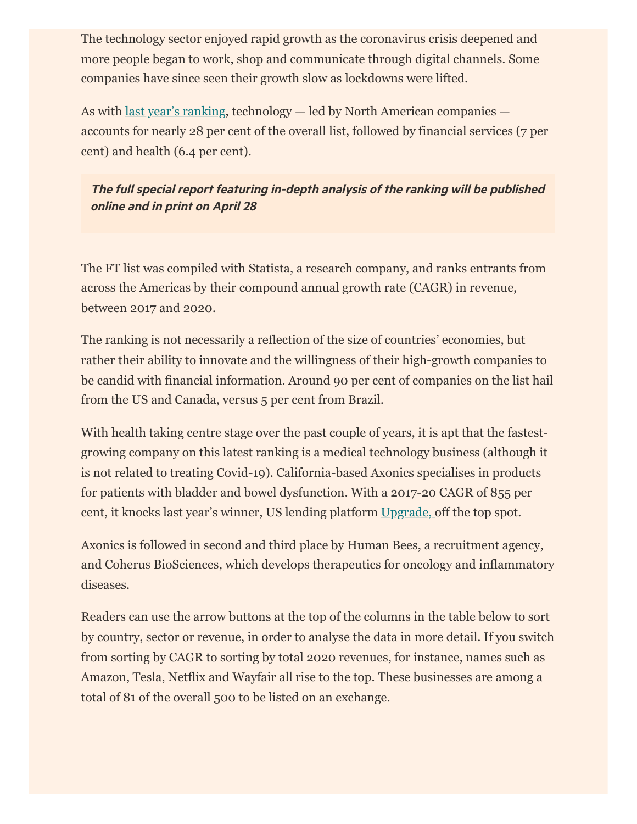The technology sector enjoyed rapid growth as the coronavirus crisis deepened and more people began to work, shop and communicate through digital channels. Some companies have since seen their growth slow as lockdowns were lifted.

As with [last year's ranking](https://www.ft.com/americas-fastest-growing-companies-2021), technology — led by North American companies accounts for nearly 28 per cent of the overall list, followed by financial services (7 per cent) and health (6.4 per cent).

The full special report featuring in-depth analysis of the ranking will be published online and in print on April 28

The FT list was compiled with Statista, a research company, and ranks entrants from across the Americas by their compound annual growth rate (CAGR) in revenue, between 2017 and 2020.

The ranking is not necessarily a reflection of the size of countries' economies, but rather their ability to innovate and the willingness of their high-growth companies to be candid with financial information. Around 90 per cent of companies on the list hail from the US and Canada, versus 5 per cent from Brazil.

With health taking centre stage over the past couple of years, it is apt that the fastestgrowing company on this latest ranking is a medical technology business (although it is not related to treating Covid-19). California-based Axonics specialises in products for patients with bladder and bowel dysfunction. With a 2017-20 CAGR of 855 per cent, it knocks last year's winner, US lending platform [Upgrade,](https://www.ft.com/content/3fc7fc68-7671-4be1-a100-a7af81408cbe) off the top spot.

Axonics is followed in second and third place by Human Bees, a recruitment agency, and Coherus BioSciences, which develops therapeutics for oncology and inflammatory diseases.

Readers can use the arrow buttons at the top of the columns in the table below to sort by country, sector or revenue, in order to analyse the data in more detail. If you switch from sorting by CAGR to sorting by total 2020 revenues, for instance, names such as Amazon, Tesla, Netflix and Wayfair all rise to the top. These businesses are among a total of 81 of the overall 500 to be listed on an exchange.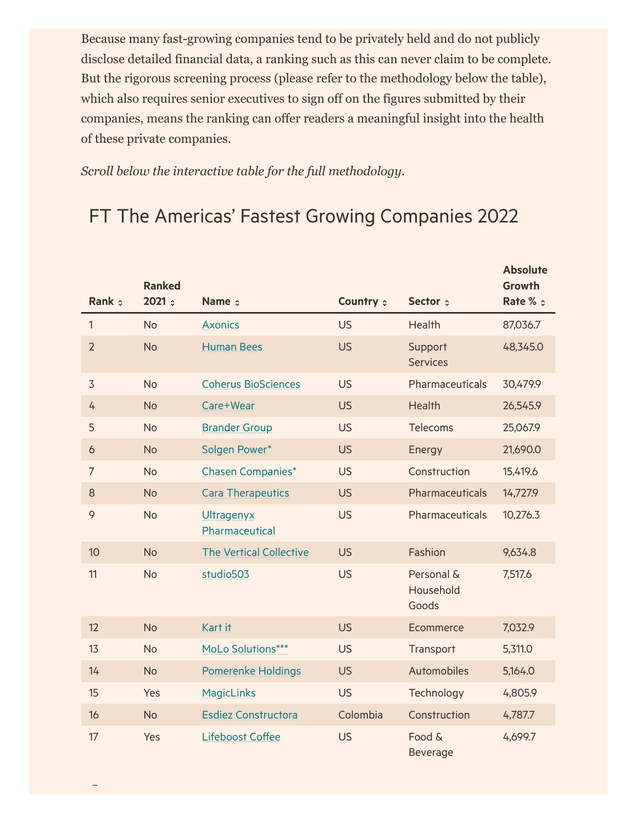Because many fast-growing companies tend to be privately held and do not publicly disclose detailed financial data, a ranking such as this can never claim to be complete. But the rigorous screening process (please refer to the methodology below the table), which also requires senior executives to sign off on the figures submitted by their companies, means the ranking can offer readers a meaningful insight into the health of these private companies.

*Scroll below the interactive table for the full methodology.*

# FT The Americas' Fastest Growing Companies 2022

|                | <b>Ranked</b> |                                |           |                                  | <b>Absolute</b><br><b>Growth</b> |
|----------------|---------------|--------------------------------|-----------|----------------------------------|----------------------------------|
| Rank :         | 2021          | Name $\phi$                    | Country : | Sector :                         | Rate % $\circ$                   |
| 1              | <b>No</b>     | <b>Axonics</b>                 | <b>US</b> | Health                           | 87,036.7                         |
| $\overline{2}$ | <b>No</b>     | <b>Human Bees</b>              | <b>US</b> | Support<br><b>Services</b>       | 48,345.0                         |
| 3              | <b>No</b>     | <b>Coherus BioSciences</b>     | <b>US</b> | Pharmaceuticals                  | 30,479.9                         |
| 4              | <b>No</b>     | Care+Wear                      | <b>US</b> | Health                           | 26,545.9                         |
| 5              | <b>No</b>     | <b>Brander Group</b>           | <b>US</b> | <b>Telecoms</b>                  | 25,067.9                         |
| 6              | <b>No</b>     | Solgen Power*                  | <b>US</b> | Energy                           | 21,690.0                         |
| $\overline{7}$ | <b>No</b>     | <b>Chasen Companies*</b>       | <b>US</b> | Construction                     | 15,419.6                         |
| 8              | <b>No</b>     | <b>Cara Therapeutics</b>       | <b>US</b> | Pharmaceuticals                  | 14,727.9                         |
| 9              | <b>No</b>     | Ultragenyx<br>Pharmaceutical   | <b>US</b> | Pharmaceuticals                  | 10,276.3                         |
| 10             | <b>No</b>     | <b>The Vertical Collective</b> | <b>US</b> | Fashion                          | 9,634.8                          |
| 11             | <b>No</b>     | studio503                      | <b>US</b> | Personal &<br>Household<br>Goods | 7,517.6                          |
| 12             | <b>No</b>     | Kart it                        | <b>US</b> | Ecommerce                        | 7,032.9                          |
| 13             | <b>No</b>     | MoLo Solutions***              | <b>US</b> | Transport                        | 5,311.0                          |
| 14             | <b>No</b>     | <b>Pomerenke Holdings</b>      | <b>US</b> | Automobiles                      | 5,164.0                          |
| 15             | Yes           | <b>MagicLinks</b>              | <b>US</b> | Technology                       | 4,805.9                          |
| 16             | <b>No</b>     | <b>Esdiez Constructora</b>     | Colombia  | Construction                     | 4,787.7                          |
| 17             | Yes           | Lifeboost Coffee               | <b>US</b> | Food &<br><b>Beverage</b>        | 4,699.7                          |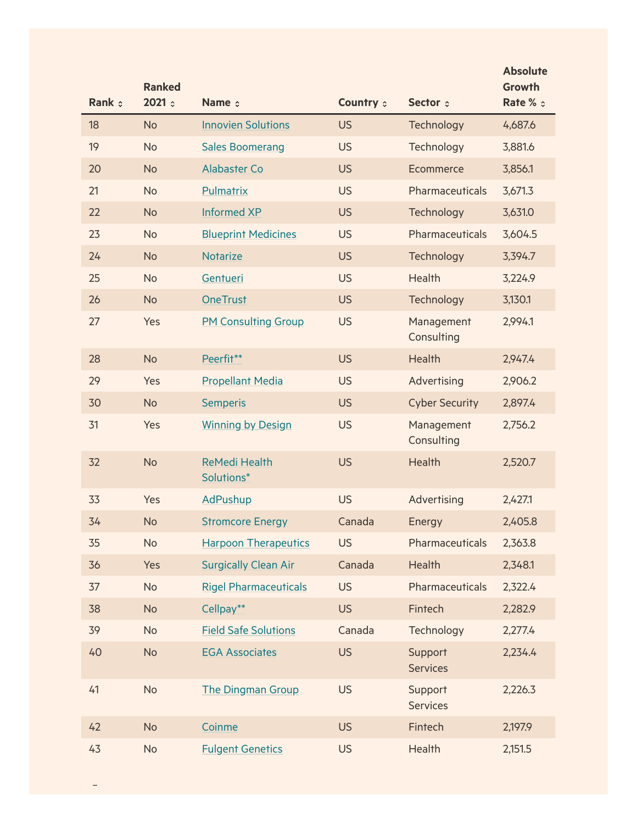|        | <b>Ranked</b> |                                    |           |                            | <b>Absolute</b><br>Growth |
|--------|---------------|------------------------------------|-----------|----------------------------|---------------------------|
| Rank : | 2021          | Name c                             | Country : | Sector :                   | Rate % c                  |
| 18     | <b>No</b>     | <b>Innovien Solutions</b>          | <b>US</b> | Technology                 | 4,687.6                   |
| 19     | <b>No</b>     | <b>Sales Boomerang</b>             | <b>US</b> | Technology                 | 3,881.6                   |
| 20     | <b>No</b>     | <b>Alabaster Co</b>                | <b>US</b> | Ecommerce                  | 3,856.1                   |
| 21     | <b>No</b>     | Pulmatrix                          | <b>US</b> | Pharmaceuticals            | 3,671.3                   |
| 22     | <b>No</b>     | <b>Informed XP</b>                 | <b>US</b> | Technology                 | 3,631.0                   |
| 23     | <b>No</b>     | <b>Blueprint Medicines</b>         | <b>US</b> | Pharmaceuticals            | 3,604.5                   |
| 24     | <b>No</b>     | <b>Notarize</b>                    | <b>US</b> | Technology                 | 3,394.7                   |
| 25     | <b>No</b>     | Gentueri                           | <b>US</b> | Health                     | 3,224.9                   |
| 26     | <b>No</b>     | <b>OneTrust</b>                    | <b>US</b> | Technology                 | 3,130.1                   |
| 27     | Yes           | <b>PM Consulting Group</b>         | <b>US</b> | Management<br>Consulting   | 2,994.1                   |
| 28     | <b>No</b>     | Peerfit**                          | <b>US</b> | <b>Health</b>              | 2,947.4                   |
| 29     | Yes           | <b>Propellant Media</b>            | <b>US</b> | Advertising                | 2,906.2                   |
| 30     | <b>No</b>     | <b>Semperis</b>                    | <b>US</b> | <b>Cyber Security</b>      | 2,897.4                   |
| 31     | Yes           | <b>Winning by Design</b>           | <b>US</b> | Management<br>Consulting   | 2,756.2                   |
| 32     | <b>No</b>     | <b>ReMedi Health</b><br>Solutions* | <b>US</b> | Health                     | 2,520.7                   |
| 33     | Yes           | <b>AdPushup</b>                    | <b>US</b> | Advertising                | 2,427.1                   |
| 34     | <b>No</b>     | <b>Stromcore Energy</b>            | Canada    | Energy                     | 2,405.8                   |
| 35     | <b>No</b>     | <b>Harpoon Therapeutics</b>        | <b>US</b> | Pharmaceuticals            | 2,363.8                   |
| 36     | Yes           | <b>Surgically Clean Air</b>        | Canada    | <b>Health</b>              | 2,348.1                   |
| 37     | <b>No</b>     | <b>Rigel Pharmaceuticals</b>       | <b>US</b> | Pharmaceuticals            | 2,322.4                   |
| 38     | <b>No</b>     | Cellpay**                          | <b>US</b> | Fintech                    | 2,282.9                   |
| 39     | <b>No</b>     | <b>Field Safe Solutions</b>        | Canada    | Technology                 | 2,277.4                   |
| 40     | <b>No</b>     | <b>EGA Associates</b>              | <b>US</b> | Support<br><b>Services</b> | 2,234.4                   |
| 41     | <b>No</b>     | <b>The Dingman Group</b>           | <b>US</b> | Support<br><b>Services</b> | 2,226.3                   |
| 42     | <b>No</b>     | Coinme                             | <b>US</b> | Fintech                    | 2,197.9                   |
| 43     | <b>No</b>     | <b>Fulgent Genetics</b>            | <b>US</b> | Health                     | 2,151.5                   |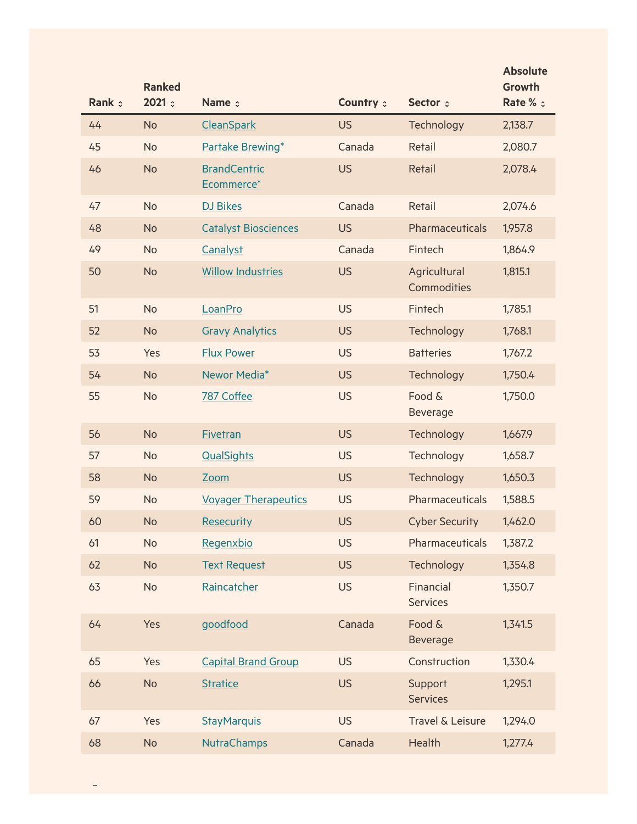| Rank : | <b>Ranked</b><br>2021 | Name $\circ$                | Country : | Sector :                     | <b>Absolute</b><br><b>Growth</b><br>Rate % c |
|--------|-----------------------|-----------------------------|-----------|------------------------------|----------------------------------------------|
| 44     | <b>No</b>             | CleanSpark                  | <b>US</b> | Technology                   | 2,138.7                                      |
| 45     | <b>No</b>             | Partake Brewing*            | Canada    | Retail                       | 2,080.7                                      |
| 46     | <b>No</b>             | <b>BrandCentric</b>         | <b>US</b> | Retail                       |                                              |
|        |                       | Ecommerce*                  |           |                              | 2,078.4                                      |
| 47     | <b>No</b>             | <b>DJ Bikes</b>             | Canada    | Retail                       | 2,074.6                                      |
| 48     | <b>No</b>             | <b>Catalyst Biosciences</b> | <b>US</b> | Pharmaceuticals              | 1,957.8                                      |
| 49     | <b>No</b>             | Canalyst                    | Canada    | Fintech                      | 1,864.9                                      |
| 50     | <b>No</b>             | <b>Willow Industries</b>    | <b>US</b> | Agricultural<br>Commodities  | 1,815.1                                      |
| 51     | <b>No</b>             | LoanPro                     | <b>US</b> | Fintech                      | 1,785.1                                      |
| 52     | <b>No</b>             | <b>Gravy Analytics</b>      | <b>US</b> | Technology                   | 1,768.1                                      |
| 53     | Yes                   | <b>Flux Power</b>           | <b>US</b> | <b>Batteries</b>             | 1,767.2                                      |
| 54     | <b>No</b>             | Newor Media*                | <b>US</b> | Technology                   | 1,750.4                                      |
| 55     | <b>No</b>             | 787 Coffee                  | <b>US</b> | Food &<br>Beverage           | 1,750.0                                      |
| 56     | <b>No</b>             | Fivetran                    | <b>US</b> | Technology                   | 1,667.9                                      |
| 57     | <b>No</b>             | QualSights                  | <b>US</b> | Technology                   | 1,658.7                                      |
| 58     | <b>No</b>             | Zoom                        | <b>US</b> | Technology                   | 1,650.3                                      |
| 59     | <b>No</b>             | <b>Voyager Therapeutics</b> | <b>US</b> | Pharmaceuticals              | 1,588.5                                      |
| 60     | <b>No</b>             | <b>Resecurity</b>           | <b>US</b> | <b>Cyber Security</b>        | 1,462.0                                      |
| 61     | <b>No</b>             | Regenxbio                   | <b>US</b> | Pharmaceuticals              | 1,387.2                                      |
| 62     | <b>No</b>             | <b>Text Request</b>         | <b>US</b> | Technology                   | 1,354.8                                      |
| 63     | <b>No</b>             | Raincatcher                 | <b>US</b> | Financial<br><b>Services</b> | 1,350.7                                      |
| 64     | Yes                   | goodfood                    | Canada    | Food &<br><b>Beverage</b>    | 1,341.5                                      |
| 65     | Yes                   | <b>Capital Brand Group</b>  | <b>US</b> | Construction                 | 1,330.4                                      |
| 66     | <b>No</b>             | <b>Stratice</b>             | <b>US</b> | Support<br><b>Services</b>   | 1,295.1                                      |
| 67     | Yes                   | <b>StayMarquis</b>          | <b>US</b> | Travel & Leisure             | 1,294.0                                      |
| 68     | <b>No</b>             | <b>NutraChamps</b>          | Canada    | Health                       | 1,277.4                                      |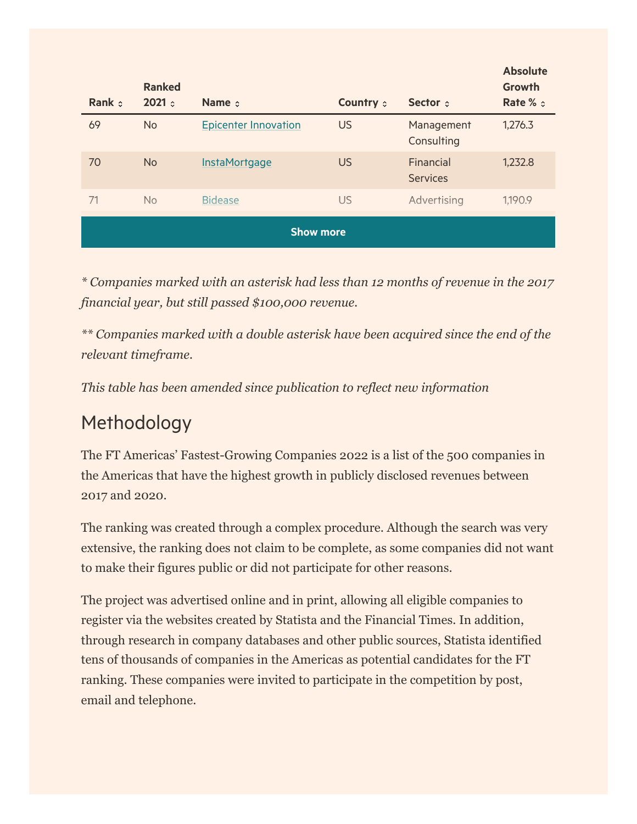| Rank $\circ$     | <b>Ranked</b><br>2021: | Name $\phi$                 | <b>Country :</b> | Sector :                     | <b>Absolute</b><br>Growth<br>Rate % $\circ$ |  |
|------------------|------------------------|-----------------------------|------------------|------------------------------|---------------------------------------------|--|
| 69               | <b>No</b>              | <b>Epicenter Innovation</b> | <b>US</b>        | Management<br>Consulting     | 1,276.3                                     |  |
| 70               | <b>No</b>              | InstaMortgage               | <b>US</b>        | Financial<br><b>Services</b> | 1,232.8                                     |  |
| 71               | <b>No</b>              | <b>Bidease</b>              | <b>US</b>        | Advertising                  | 1,190.9                                     |  |
| <b>Show more</b> |                        |                             |                  |                              |                                             |  |

*\* Companies marked with an asterisk had less than 12 months of revenue in the 2017 financial year, but still passed \$100,000 revenue.*

*\*\* Companies marked with a double asterisk have been acquired since the end of the relevant timeframe.*

*This table has been amended since publication to reflect new information*

# Methodology

The FT Americas' Fastest-Growing Companies 2022 is a list of the 500 companies in the Americas that have the highest growth in publicly disclosed revenues between 2017 and 2020.

The ranking was created through a complex procedure. Although the search was very extensive, the ranking does not claim to be complete, as some companies did not want to make their figures public or did not participate for other reasons.

The project was advertised online and in print, allowing all eligible companies to register via the websites created by Statista and the Financial Times. In addition, through research in company databases and other public sources, Statista identified tens of thousands of companies in the Americas as potential candidates for the FT ranking. These companies were invited to participate in the competition by post, email and telephone.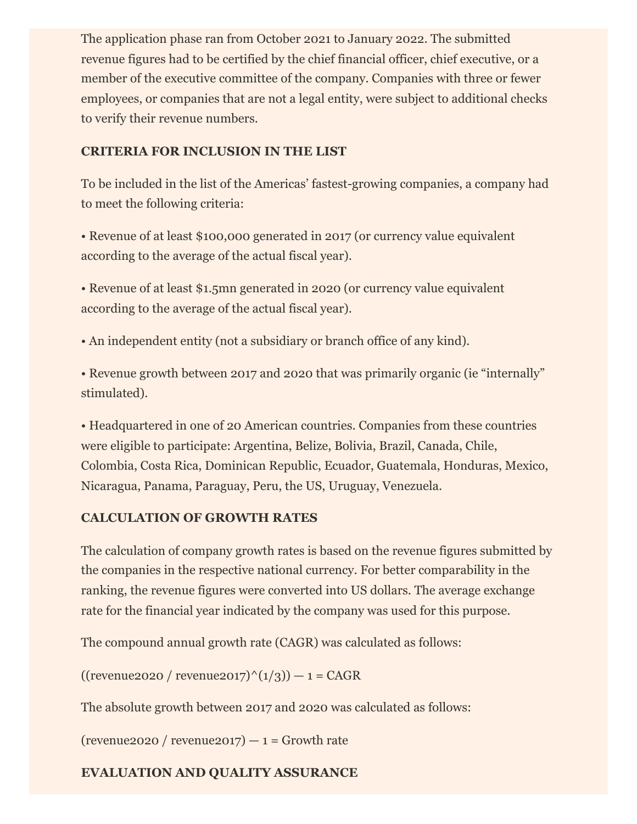The application phase ran from October 2021 to January 2022. The submitted revenue figures had to be certified by the chief financial officer, chief executive, or a member of the executive committee of the company. Companies with three or fewer employees, or companies that are not a legal entity, were subject to additional checks to verify their revenue numbers.

### **CRITERIA FOR INCLUSION IN THE LIST**

To be included in the list of the Americas' fastest-growing companies, a company had to meet the following criteria:

• Revenue of at least \$100,000 generated in 2017 (or currency value equivalent according to the average of the actual fiscal year).

• Revenue of at least \$1.5mn generated in 2020 (or currency value equivalent according to the average of the actual fiscal year).

• An independent entity (not a subsidiary or branch office of any kind).

• Revenue growth between 2017 and 2020 that was primarily organic (ie "internally" stimulated).

• Headquartered in one of 20 American countries. Companies from these countries were eligible to participate: Argentina, Belize, Bolivia, Brazil, Canada, Chile, Colombia, Costa Rica, Dominican Republic, Ecuador, Guatemala, Honduras, Mexico, Nicaragua, Panama, Paraguay, Peru, the US, Uruguay, Venezuela.

#### **CALCULATION OF GROWTH RATES**

The calculation of company growth rates is based on the revenue figures submitted by the companies in the respective national currency. For better comparability in the ranking, the revenue figures were converted into US dollars. The average exchange rate for the financial year indicated by the company was used for this purpose.

The compound annual growth rate (CAGR) was calculated as follows:

 $((revenue 2020 / revenue 2017)^(1/3)) - 1 = CAGR$ 

The absolute growth between 2017 and 2020 was calculated as follows:

(revenue2020 / revenue2017)  $-1$  = Growth rate

### **EVALUATION AND QUALITY ASSURANCE**